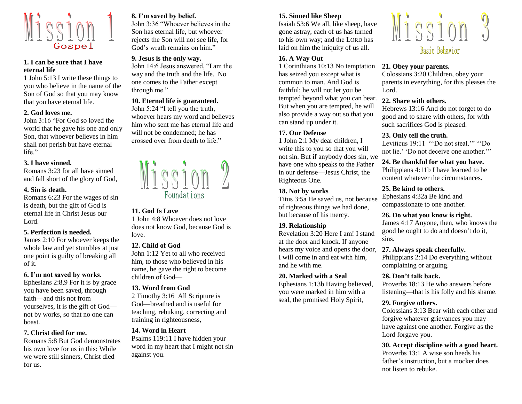

## **1. I can be sure that I have eternal life**

1 John 5:13 I write these things to you who believe in the name of the Son of God so that you may know that you have eternal life.

#### **2. God loves me.**

John 3:16 "For God so loved the world that he gave his one and only Son, that whoever believes in him shall not perish but have eternal life."

#### **3. I have sinned.**

Romans 3:23 for all have sinned and fall short of the glory of God,

#### **4. Sin is death.**

Romans 6:23 For the wages of sin is death, but the gift of God is eternal life in Christ Jesus our Lord.

#### **5. Perfection is needed.**

James 2:10 For whoever keeps the whole law and yet stumbles at just one point is guilty of breaking all of it.

#### **6. I'm not saved by works.**

Ephesians 2:8,9 For it is by grace you have been saved, through faith—and this not from yourselves, it is the gift of God not by works, so that no one can boast.

#### **7. Christ died for me.**

Romans 5:8 But God demonstrates his own love for us in this: While we were still sinners, Christ died for us.

## **8. I'm saved by belief.**

John 3:36 "Whoever believes in the Son has eternal life, but whoever rejects the Son will not see life, for God's wrath remains on him."

#### **9. Jesus is the only way.**

John 14:6 Jesus answered, "I am the way and the truth and the life. No one comes to the Father except through me."

## **10. Eternal life is guaranteed.**

John 5:24 "I tell you the truth, whoever hears my word and believes him who sent me has eternal life and will not be condemned; he has crossed over from death to life."



#### **11. God Is Love**

1 John 4:8 Whoever does not love does not know God, because God is love.

#### **12. Child of God**

John 1:12 Yet to all who received him, to those who believed in his name, he gave the right to become children of God—

#### **13. Word from God**

2 Timothy 3:16 All Scripture is God—breathed and is useful for teaching, rebuking, correcting and training in righteousness,

### **14. Word in Heart**

Psalms 119:11 I have hidden your word in my heart that I might not sin against you.

## **15. Sinned like Sheep**

Isaiah 53:6 We all, like sheep, have gone astray, each of us has turned to his own way; and the LORD has laid on him the iniquity of us all.

### **16. A Way Out**

1 Corinthians 10:13 No temptation has seized you except what is common to man. And God is faithful; he will not let you be tempted beyond what you can bear. But when you are tempted, he will also provide a way out so that you can stand up under it.

## **17. Our Defense**

1 John 2:1 My dear children, I write this to you so that you will not sin. But if anybody does sin, we have one who speaks to the Father in our defense—Jesus Christ, the Righteous One.

## **18. Not by works**

Titus 3:5a He saved us, not because of righteous things we had done, but because of his mercy.

## **19. Relationship**

Revelation 3:20 Here I am! I stand at the door and knock. If anyone hears my voice and opens the door, I will come in and eat with him, and he with me.

## **20. Marked with a Seal**

Ephesians 1:13b Having believed, you were marked in him with a seal, the promised Holy Spirit,



## **21. Obey your parents.**

Colossians 3:20 Children, obey your parents in everything, for this pleases the Lord.

## **22. Share with others.**

Hebrews 13:16 And do not forget to do good and to share with others, for with such sacrifices God is pleased.

#### **23. Only tell the truth.**

Leviticus 19:11 "'Do not steal.'" "Do not lie.' 'Do not deceive one another.'"

**24. Be thankful for what you have.**

Philippians 4:11b I have learned to be content whatever the circumstances.

### **25. Be kind to others.**

Ephesians 4:32a Be kind and compassionate to one another.

## **26. Do what you know is right.**

James 4:17 Anyone, then, who knows the good he ought to do and doesn't do it, sins.

## **27. Always speak cheerfully.**

Philippians 2:14 Do everything without complaining or arguing.

## **28. Don't talk back.**

Proverbs 18:13 He who answers before listening—that is his folly and his shame.

## **29. Forgive others.**

Colossians 3:13 Bear with each other and forgive whatever grievances you may have against one another. Forgive as the Lord forgave you.

## **30. Accept discipline with a good heart.**

Proverbs 13:1 A wise son heeds his father's instruction, but a mocker does not listen to rebuke.